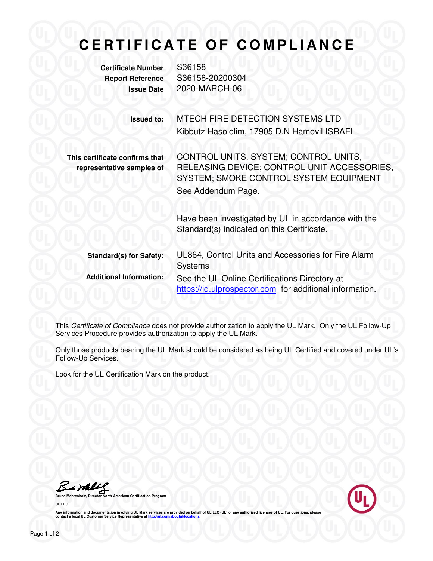## **CERTIFICATE OF COMPLIANCE**

**Certificate Number** S36158

**Report Reference** S36158-20200304 **Issue Date** 2020-MARCH-06

> **Issued to:** MTECH FIRE DETECTION SYSTEMS LTD Kibbutz Hasolelim, 17905 D.N Hamovil ISRAEL

**This certificate confirms that representative samples of**  CONTROL UNITS, SYSTEM; CONTROL UNITS, RELEASING DEVICE; CONTROL UNIT ACCESSORIES, SYSTEM; SMOKE CONTROL SYSTEM EQUIPMENT See Addendum Page.

Have been investigated by UL in accordance with the Standard(s) indicated on this Certificate.

**Standard(s) for Safety:** UL864, Control Units and Accessories for Fire Alarm Systems **Additional Information:** See the UL Online Certifications Directory at https://ig.ulprospector.com for additional information.

This *Certificate of Compliance* does not provide authorization to apply the UL Mark. Only the UL Follow-Up Services Procedure provides authorization to apply the UL Mark.

Only those products bearing the UL Mark should be considered as being UL Certified and covered under UL's Follow-Up Services.

Look for the UL Certification Mark on the product.

Samll

**American Certification Progra UL LLC** 



Any information and documentation involving UL Mark services are provided on behalf of UL LLC (UL) or any authorized licensee of UL. For questions, please<br>contact a local UL Customer Service Representative at <u>http://ul.co</u>